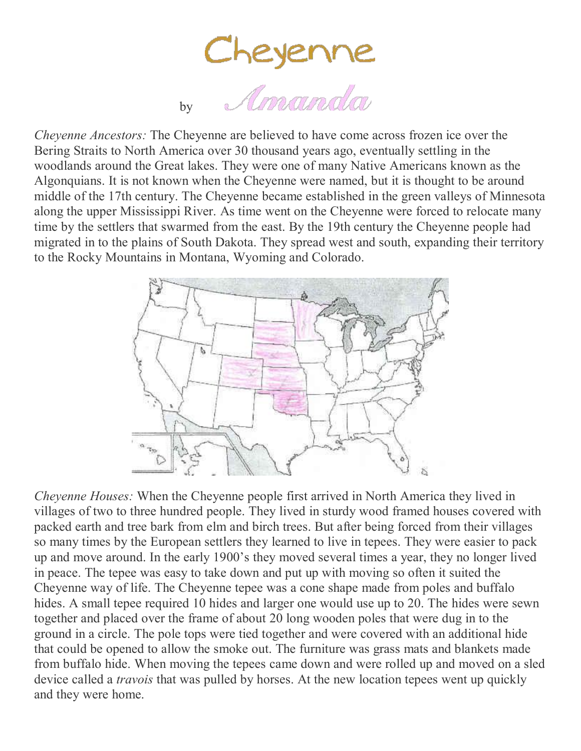Cheyenne<br>by *Amanda* 

*Cheyenne Ancestors:* The Cheyenne are believed to have come across frozen ice over the Bering Straits to North America over 30 thousand years ago, eventually settling in the woodlands around the Great lakes. They were one of many Native Americans known as the Algonquians. It is not known when the Cheyenne were named, but it is thought to be around middle of the 17th century. The Cheyenne became established in the green valleys of Minnesota along the upper Mississippi River. As time went on the Cheyenne were forced to relocate many time by the settlers that swarmed from the east. By the 19th century the Cheyenne people had migrated in to the plains of South Dakota. They spread west and south, expanding their territory to the Rocky Mountains in Montana, Wyoming and Colorado.



*Cheyenne Houses:* When the Cheyenne people first arrived in North America they lived in villages of two to three hundred people. They lived in sturdy wood framed houses covered with packed earth and tree bark from elm and birch trees. But after being forced from their villages so many times by the European settlers they learned to live in tepees. They were easier to pack up and move around. In the early 1900's they moved several times a year, they no longer lived in peace. The tepee was easy to take down and put up with moving so often it suited the Cheyenne way of life. The Cheyenne tepee was a cone shape made from poles and buffalo hides. A small tepee required 10 hides and larger one would use up to 20. The hides were sewn together and placed over the frame of about 20 long wooden poles that were dug in to the ground in a circle. The pole tops were tied together and were covered with an additional hide that could be opened to allow the smoke out. The furniture was grass mats and blankets made from buffalo hide. When moving the tepees came down and were rolled up and moved on a sled device called a *travois* that was pulled by horses. At the new location tepees went up quickly and they were home.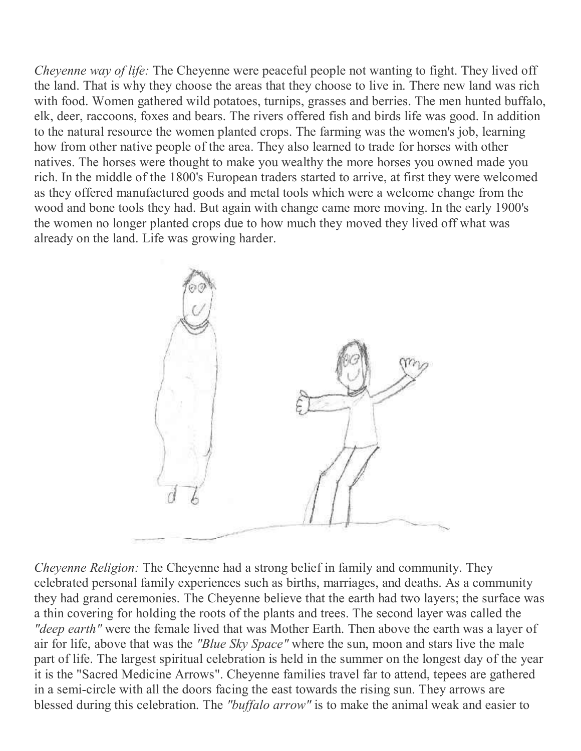*Cheyenne way of life:* The Cheyenne were peaceful people not wanting to fight. They lived off the land. That is why they choose the areas that they choose to live in. There new land was rich with food. Women gathered wild potatoes, turnips, grasses and berries. The men hunted buffalo, elk, deer, raccoons, foxes and bears. The rivers offered fish and birds life was good. In addition to the natural resource the women planted crops. The farming was the women's job, learning how from other native people of the area. They also learned to trade for horses with other natives. The horses were thought to make you wealthy the more horses you owned made you rich. In the middle of the 1800's European traders started to arrive, at first they were welcomed as they offered manufactured goods and metal tools which were a welcome change from the wood and bone tools they had. But again with change came more moving. In the early 1900's the women no longer planted crops due to how much they moved they lived off what was already on the land. Life was growing harder.



*Cheyenne Religion:* The Cheyenne had a strong belief in family and community. They celebrated personal family experiences such as births, marriages, and deaths. As a community they had grand ceremonies. The Cheyenne believe that the earth had two layers; the surface was a thin covering for holding the roots of the plants and trees. The second layer was called the *"deep earth"* were the female lived that was Mother Earth. Then above the earth was a layer of air for life, above that was the *"Blue Sky Space"* where the sun, moon and stars live the male part of life. The largest spiritual celebration is held in the summer on the longest day of the year it is the "Sacred Medicine Arrows". Cheyenne families travel far to attend, tepees are gathered in a semi-circle with all the doors facing the east towards the rising sun. They arrows are blessed during this celebration. The *"buffalo arrow"* is to make the animal weak and easier to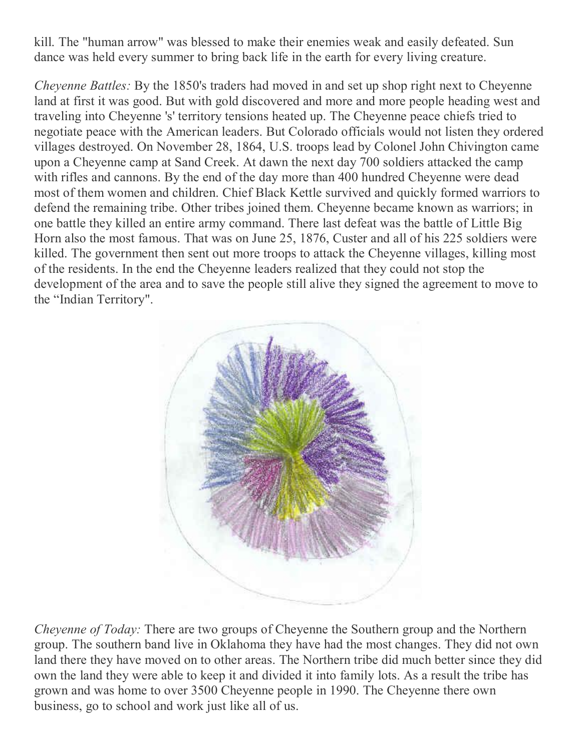kill. The "human arrow" was blessed to make their enemies weak and easily defeated. Sun dance was held every summer to bring back life in the earth for every living creature.

*Cheyenne Battles:* By the 1850's traders had moved in and set up shop right next to Cheyenne land at first it was good. But with gold discovered and more and more people heading west and traveling into Cheyenne 's' territory tensions heated up. The Cheyenne peace chiefs tried to negotiate peace with the American leaders. But Colorado officials would not listen they ordered villages destroyed. On November 28, 1864, U.S. troops lead by Colonel John Chivington came upon a Cheyenne camp at Sand Creek. At dawn the next day 700 soldiers attacked the camp with rifles and cannons. By the end of the day more than 400 hundred Cheyenne were dead most of them women and children. Chief Black Kettle survived and quickly formed warriors to defend the remaining tribe. Other tribes joined them. Cheyenne became known as warriors; in one battle they killed an entire army command. There last defeat was the battle of Little Big Horn also the most famous. That was on June 25, 1876, Custer and all of his 225 soldiers were killed. The government then sent out more troops to attack the Cheyenne villages, killing most of the residents. In the end the Cheyenne leaders realized that they could not stop the development of the area and to save the people still alive they signed the agreement to move to the "Indian Territory".



*Cheyenne of Today:* There are two groups of Cheyenne the Southern group and the Northern group. The southern band live in Oklahoma they have had the most changes. They did not own land there they have moved on to other areas. The Northern tribe did much better since they did own the land they were able to keep it and divided it into family lots. As a result the tribe has grown and was home to over 3500 Cheyenne people in 1990. The Cheyenne there own business, go to school and work just like all of us.